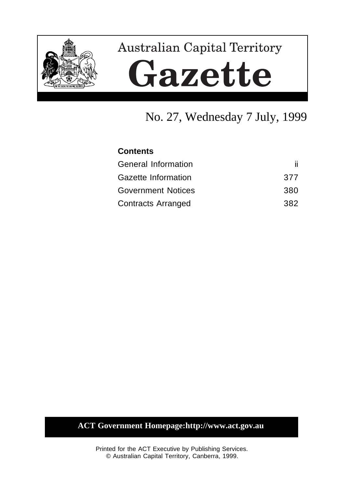

# **Australian Capital Territory** Gazette

# No. 27, Wednesday 7 July, 1999

| <b>Contents</b>            |     |
|----------------------------|-----|
| <b>General Information</b> | ij. |
| Gazette Information        | 377 |
| <b>Government Notices</b>  | 380 |
| <b>Contracts Arranged</b>  | 382 |

## **ACT Government Homepage:http://www.act.gov.au**

Printed for the ACT Executive by Publishing Services. © Australian Capital Territory, Canberra, 1999.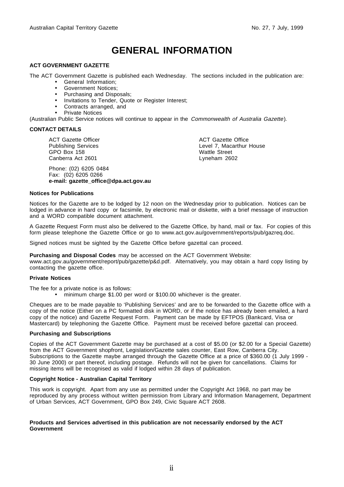# **GENERAL INFORMATION**

### **ACT GOVERNMENT GAZETTE**

The ACT Government Gazette is published each Wednesday. The sections included in the publication are:

- General Information;
- Government Notices;
- Purchasing and Disposals;
- Invitations to Tender, Quote or Register Interest;
- Contracts arranged, and
- Private Notices

(Australian Public Service notices will continue to appear in the Commonwealth of Australia Gazette).

#### **CONTACT DETAILS**

ACT Gazette Officer Publishing Services GPO Box 158 Canberra Act 2601

Phone: (02) 6205 0484 Fax: (02) 6205 0266 **e-mail: gazette\_office@dpa.act.gov.au** ACT Gazette Office Level 7, Macarthur House Wattle Street Lyneham 2602

#### **Notices for Publications**

Notices for the Gazette are to be lodged by 12 noon on the Wednesday prior to publication. Notices can be lodged in advance in hard copy or facsimile, by electronic mail or diskette, with a brief message of instruction and a WORD compatible document attachment.

A Gazette Request Form must also be delivered to the Gazette Office, by hand, mail or fax. For copies of this form please telephone the Gazette Office or go to www.act.gov.au/government/reports/pub/gazreq.doc.

Signed notices must be sighted by the Gazette Office before gazettal can proceed.

**Purchasing and Disposal Codes** may be accessed on the ACT Government Website:

www.act.gov.au/government/report/pub/gazette/p&d.pdf. Alternatively, you may obtain a hard copy listing by contacting the gazette office.

#### **Private Notices**

The fee for a private notice is as follows:

• minimum charge \$1.00 per word or \$100.00 whichever is the greater.

Cheques are to be made payable to 'Publishing Services' and are to be forwarded to the Gazette office with a copy of the notice (Either on a PC formatted disk in WORD, or if the notice has already been emailed, a hard copy of the notice) and Gazette Request Form. Payment can be made by EFTPOS (Bankcard, Visa or Mastercard) by telephoning the Gazette Office. Payment must be received before gazettal can proceed.

#### **Purchasing and Subscriptions**

Copies of the ACT Government Gazette may be purchased at a cost of \$5.00 (or \$2.00 for a Special Gazette) from the ACT Government shopfront, Legislation/Gazette sales counter, East Row, Canberra City. Subscriptions to the Gazette maybe arranged through the Gazette Office at a price of \$360.00 (1 July 1999 - 30 June 2000) or part thereof, including postage. Refunds will not be given for cancellations. Claims for missing items will be recognised as valid if lodged within 28 days of publication.

#### **Copyright Notice - Australian Capital Territory**

This work is copyright. Apart from any use as permitted under the Copyright Act 1968, no part may be reproduced by any process without written permission from Library and Information Management, Department of Urban Services, ACT Government, GPO Box 249, Civic Square ACT 2608.

#### **Products and Services advertised in this publication are not necessarily endorsed by the ACT Government**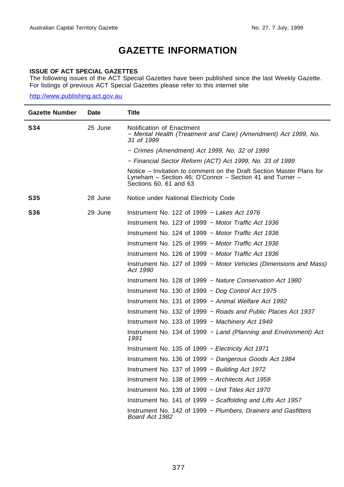# **GAZETTE INFORMATION**

## **ISSUE OF ACT SPECIAL GAZETTES**

The following issues of the ACT Special Gazettes have been published since the last Weekly Gazette. For listings of previous ACT Special Gazettes please refer to this internet site

http://www.publishing.act.gov.au

| <b>Gazette Number</b> | <b>Date</b> | Title                                                                                                                                                      |
|-----------------------|-------------|------------------------------------------------------------------------------------------------------------------------------------------------------------|
| <b>S34</b>            | 25 June     | Notification of Enactment<br>~ Mental Health (Treatment and Care) (Amendment) Act 1999, No.<br>31 of 1999                                                  |
|                       |             | $\sim$ Crimes (Amendment) Act 1999, No. 32 of 1999                                                                                                         |
|                       |             | ~ Financial Sector Reform (ACT) Act 1999, No. 33 of 1999                                                                                                   |
|                       |             | Notice – Invitation to comment on the Draft Section Master Plans for<br>Lyneham - Section 46; O'Connor - Section 41 and Turner -<br>Sections 60, 61 and 63 |
| <b>S35</b>            | 28 June     | Notice under National Electricity Code                                                                                                                     |
| <b>S36</b>            | 29 June     | Instrument No. 122 of 1999 $\sim$ Lakes Act 1976                                                                                                           |
|                       |             | Instrument No. 123 of 1999 $\sim$ Motor Traffic Act 1936                                                                                                   |
|                       |             | Instrument No. 124 of 1999 ~ Motor Traffic Act 1936                                                                                                        |
|                       |             | Instrument No. 125 of 1999 $\sim$ Motor Traffic Act 1936                                                                                                   |
|                       |             | Instrument No. 126 of 1999 $\sim$ Motor Traffic Act 1936                                                                                                   |
|                       |             | Instrument No. 127 of 1999 $\sim$ Motor Vehicles (Dimensions and Mass)<br>Act 1990                                                                         |
|                       |             | Instrument No. 128 of 1999 $\sim$ Nature Conservation Act 1980                                                                                             |
|                       |             | Instrument No. 130 of 1999 $\sim$ Dog Control Act 1975                                                                                                     |
|                       |             | Instrument No. 131 of 1999 $\sim$ Animal Welfare Act 1992                                                                                                  |
|                       |             | Instrument No. 132 of 1999 $\sim$ Roads and Public Places Act 1937                                                                                         |
|                       |             | Instrument No. 133 of 1999 $\sim$ Machinery Act 1949                                                                                                       |
|                       |             | Instrument No. 134 of 1999 $\sim$ Land (Planning and Environment) Act<br>1991                                                                              |
|                       |             | Instrument No. 135 of 1999 $\sim$ Electricity Act 1971                                                                                                     |
|                       |             | Instrument No. 136 of 1999 $\sim$ Dangerous Goods Act 1984                                                                                                 |
|                       |             | Instrument No. 137 of 1999 $\sim$ Building Act 1972                                                                                                        |
|                       |             | Instrument No. 138 of 1999 $\sim$ Architects Act 1959                                                                                                      |
|                       |             | Instrument No. 139 of 1999 $\sim$ Unit Titles Act 1970                                                                                                     |
|                       |             | Instrument No. 141 of 1999 $\sim$ Scaffolding and Lifts Act 1957                                                                                           |
|                       |             | Instrument No. 142 of 1999 $\sim$ Plumbers, Drainers and Gasfitters<br>Board Act 1982                                                                      |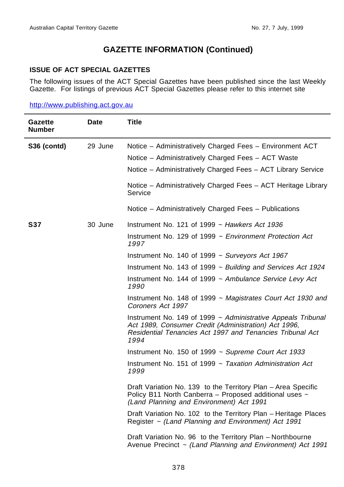## **GAZETTE INFORMATION (Continued)**

## **ISSUE OF ACT SPECIAL GAZETTES**

The following issues of the ACT Special Gazettes have been published since the last Weekly Gazette. For listings of previous ACT Special Gazettes please refer to this internet site

http://www.publishing.act.gov.au

| Gazette<br>Number | <b>Date</b> | <b>Title</b>                                                                                                                                                                              |
|-------------------|-------------|-------------------------------------------------------------------------------------------------------------------------------------------------------------------------------------------|
| S36 (contd)       | 29 June     | Notice - Administratively Charged Fees - Environment ACT                                                                                                                                  |
|                   |             | Notice - Administratively Charged Fees - ACT Waste                                                                                                                                        |
|                   |             | Notice - Administratively Charged Fees - ACT Library Service                                                                                                                              |
|                   |             | Notice – Administratively Charged Fees – ACT Heritage Library<br>Service                                                                                                                  |
|                   |             | Notice - Administratively Charged Fees - Publications                                                                                                                                     |
| S37               | 30 June     | Instrument No. 121 of 1999 $\sim$ Hawkers Act 1936                                                                                                                                        |
|                   |             | Instrument No. 129 of 1999 ~ Environment Protection Act<br>1997                                                                                                                           |
|                   |             | Instrument No. 140 of 1999 $\sim$ Surveyors Act 1967                                                                                                                                      |
|                   |             | Instrument No. 143 of 1999 ~ Building and Services Act 1924                                                                                                                               |
|                   |             | Instrument No. 144 of 1999 ~ Ambulance Service Levy Act<br>1990                                                                                                                           |
|                   |             | Instrument No. 148 of 1999 ~ Magistrates Court Act 1930 and<br>Coroners Act 1997                                                                                                          |
|                   |             | Instrument No. 149 of 1999 ~ Administrative Appeals Tribunal<br>Act 1989, Consumer Credit (Administration) Act 1996,<br>Residential Tenancies Act 1997 and Tenancies Tribunal Act<br>1994 |
|                   |             | Instrument No. 150 of 1999 ~ Supreme Court Act 1933                                                                                                                                       |
|                   |             | Instrument No. 151 of 1999 ~ Taxation Administration Act<br>1999                                                                                                                          |
|                   |             | Draft Variation No. 139 to the Territory Plan - Area Specific<br>Policy B11 North Canberra - Proposed additional uses ~<br>(Land Planning and Environment) Act 1991                       |
|                   |             | Draft Variation No. 102 to the Territory Plan - Heritage Places<br>Register ~ (Land Planning and Environment) Act 1991                                                                    |
|                   |             | Draft Variation No. 96 to the Territory Plan - Northbourne<br>Avenue Precinct $\sim$ (Land Planning and Environment) Act 1991                                                             |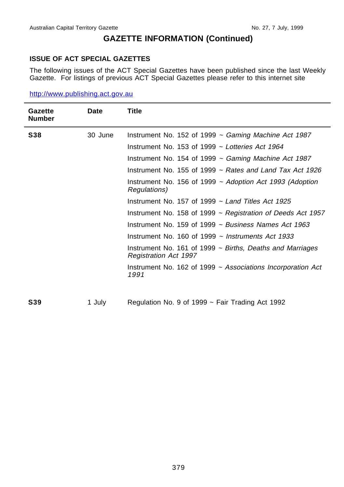## **GAZETTE INFORMATION (Continued)**

## **ISSUE OF ACT SPECIAL GAZETTES**

The following issues of the ACT Special Gazettes have been published since the last Weekly Gazette. For listings of previous ACT Special Gazettes please refer to this internet site

| Gazette<br><b>Number</b> | Date    | Title                                                                                          |
|--------------------------|---------|------------------------------------------------------------------------------------------------|
| <b>S38</b>               | 30 June | Instrument No. 152 of 1999 $\sim$ Gaming Machine Act 1987                                      |
|                          |         | Instrument No. 153 of 1999 $\sim$ Lotteries Act 1964                                           |
|                          |         | Instrument No. 154 of 1999 $\sim$ Gaming Machine Act 1987                                      |
|                          |         | Instrument No. 155 of 1999 $\sim$ Rates and Land Tax Act 1926                                  |
|                          |         | Instrument No. 156 of 1999 $\sim$ Adoption Act 1993 (Adoption<br>Regulations)                  |
|                          |         | Instrument No. 157 of 1999 $\sim$ Land Titles Act 1925                                         |
|                          |         | Instrument No. 158 of 1999 $\sim$ Registration of Deeds Act 1957                               |
|                          |         | Instrument No. 159 of 1999 $\sim$ Business Names Act 1963                                      |
|                          |         | Instrument No. 160 of 1999 $\sim$ Instruments Act 1933                                         |
|                          |         | Instrument No. 161 of 1999 $\sim$ Births, Deaths and Marriages<br><b>Registration Act 1997</b> |
|                          |         | Instrument No. 162 of 1999 $\sim$ Associations Incorporation Act<br>1991                       |
|                          |         |                                                                                                |
| <b>S39</b>               | 1 July  | Regulation No. 9 of 1999 $\sim$ Fair Trading Act 1992                                          |

http://www.publishing.act.gov.au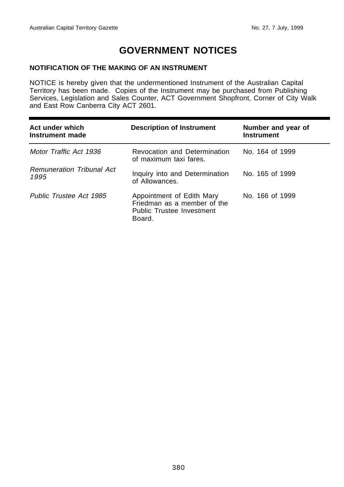# **GOVERNMENT NOTICES**

## **NOTIFICATION OF THE MAKING OF AN INSTRUMENT**

NOTICE is hereby given that the undermentioned Instrument of the Australian Capital Territory has been made. Copies of the Instrument may be purchased from Publishing Services, Legislation and Sales Counter, ACT Government Shopfront, Corner of City Walk and East Row Canberra City ACT 2601.

| Act under which<br>Instrument made       | <b>Description of Instrument</b>                                                                       | Number and year of<br><b>Instrument</b> |
|------------------------------------------|--------------------------------------------------------------------------------------------------------|-----------------------------------------|
| Motor Traffic Act 1936                   | Revocation and Determination<br>of maximum taxi fares.                                                 | No. 164 of 1999                         |
| <b>Remuneration Tribunal Act</b><br>1995 | Inquiry into and Determination<br>of Allowances.                                                       | No. 165 of 1999                         |
| Public Trustee Act 1985                  | Appointment of Edith Mary<br>Friedman as a member of the<br><b>Public Trustee Investment</b><br>Board. | No. 166 of 1999                         |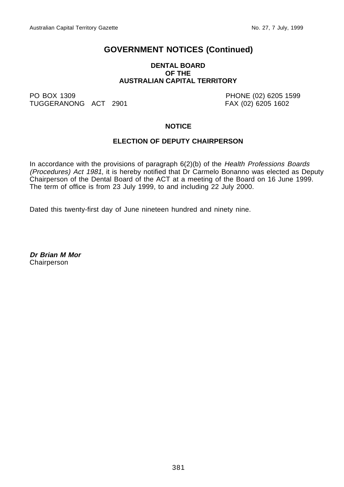## **GOVERNMENT NOTICES (Continued)**

### **DENTAL BOARD OF THE AUSTRALIAN CAPITAL TERRITORY**

PO BOX 1309 **PHONE (02) 6205 1599** TUGGERANONG ACT 2901 FAX (02) 6205 1602

## **NOTICE**

## **ELECTION OF DEPUTY CHAIRPERSON**

In accordance with the provisions of paragraph  $6(2)(b)$  of the Health Professions Boards (Procedures) Act 1981, it is hereby notified that Dr Carmelo Bonanno was elected as Deputy Chairperson of the Dental Board of the ACT at a meeting of the Board on 16 June 1999. The term of office is from 23 July 1999, to and including 22 July 2000.

Dated this twenty-first day of June nineteen hundred and ninety nine.

**Dr Brian M Mor** Chairperson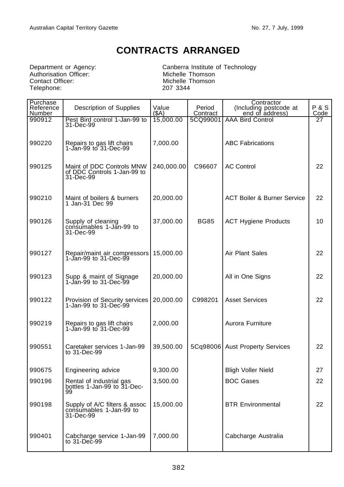# **CONTRACTS ARRANGED**

Department or Agency:<br>Authorisation Officer:<br>Contact Officer: Telephone:

Canberra Institute of Technology<br>Michelle Thomson Michelle Thomson<br>207 3344

| Purchase            |                                                                       |                |                    | Contractor                                |                        |
|---------------------|-----------------------------------------------------------------------|----------------|--------------------|-------------------------------------------|------------------------|
| Reference<br>Number | Description of Supplies                                               | Value<br>(\$A) | Period<br>Contract | (Including postcode at<br>end of address) | <b>P&amp;S</b><br>Code |
| 990912              | Pest Bird control 1-Jan-99 to<br>31-Dec-99                            | 15,000.00      | 5CQ99001           | <b>AAA Bird Control</b>                   | 27                     |
| 990220              | Repairs to gas lift chairs<br>1-Jan-99 to 31-Dec-99                   | 7,000.00       |                    | <b>ABC Fabrications</b>                   |                        |
| 990125              | Maint of DDC Controls MNW<br>of DDC Controls 1-Jan-99 to<br>31-Dec-99 | 240,000.00     | C96607             | <b>AC Control</b>                         | 22                     |
| 990210              | Maint of boilers & burners<br>1 Jan-31 Dec 99                         | 20,000.00      |                    | <b>ACT Boiler &amp; Burner Service</b>    | 22                     |
| 990126              | Supply of cleaning<br>consumables 1-Jan-99 to<br>31-Dec-99            | 37,000.00      | <b>BG85</b>        | <b>ACT Hygiene Products</b>               | 10                     |
| 990127              | Repair/maint air compressors<br>1-Jan-99 to 31-Dec-99                 | 15,000.00      |                    | Air Plant Sales                           | 22                     |
| 990123              | Supp & maint of Signage<br>1-Jan-99 to 31-Dec-99                      | 20,000.00      |                    | All in One Signs                          | 22                     |
| 990122              | Provision of Security services<br>1-Jan-99 to 31-Dec-99               | 20,000.00      | C998201            | <b>Asset Services</b>                     | 22                     |
| 990219              | Repairs to gas lift chairs<br>1-Jan-99 to 31-Dec-99                   | 2,000.00       |                    | Aurora Furniture                          |                        |
| 990551              | Caretaker services 1-Jan-99<br>to 31-Dec-99                           | 39,500.00      |                    | 5Cq98006 Aust Property Services           | 22                     |
| 990675              | Engineering advice                                                    | 9,300.00       |                    | <b>Bligh Voller Nield</b>                 | 27                     |
| 990196              | Rental of industrial gas<br>bottles 1-Jan-99 to 31-Dec-<br>99         | 3,500.00       |                    | <b>BOC Gases</b>                          | 22                     |
| 990198              | Supply of A/C filters & assoc<br>consumables 1-Jan-99 to<br>31-Dec-99 | 15,000.00      |                    | <b>BTR Environmental</b>                  | 22                     |
| 990401              | Cabcharge service 1-Jan-99<br>to $31$ -Dec-99                         | 7,000.00       |                    | Cabcharge Australia                       |                        |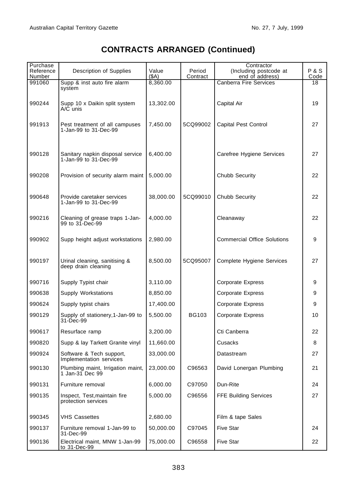| Purchase<br>Reference<br>Number | <b>Description of Supplies</b>                                 | Value<br>(SA) | Period<br>Contract | Contractor<br>(Including postcode at<br>end of address) | <b>P&amp;S</b><br>Code |
|---------------------------------|----------------------------------------------------------------|---------------|--------------------|---------------------------------------------------------|------------------------|
| 991060                          | Supp & inst auto fire alarm<br>system                          | 8,360.00      |                    | <b>Canberra Fire Services</b>                           | 18                     |
| 990244                          | Supp 10 x Daikin split system<br>A/C unis                      | 13,302.00     |                    | Capital Air                                             | 19                     |
| 991913                          | Pest treatment of all campuses<br>1-Jan-99 to 31-Dec-99        | 7,450.00      | 5CQ99002           | Capital Pest Control                                    | 27                     |
| 990128                          | Sanitary napkin disposal service<br>1-Jan-99 to 31-Dec-99      | 6.400.00      |                    | Carefree Hygiene Services                               | 27                     |
| 990208                          | Provision of security alarm maint                              | 5,000.00      |                    | Chubb Security                                          | 22                     |
| 990648                          | Provide caretaker services<br>1-Jan-99 to 31-Dec-99            | 38,000.00     | 5CQ99010           | Chubb Security                                          | 22                     |
| 990216                          | Cleaning of grease traps 1-Jan-<br>99 to 31-Dec-99             | 4.000.00      |                    | Cleanaway                                               | 22                     |
| 990902                          | Supp height adjust workstations                                | 2.980.00      |                    | <b>Commercial Office Solutions</b>                      | 9                      |
| 990197                          | Urinal cleaning, sanitising &<br>deep drain cleaning           | 8.500.00      | 5CQ95007           | Complete Hygiene Services                               | 27                     |
| 990716                          | Supply Typist chair                                            | 3,110.00      |                    | Corporate Express                                       | 9                      |
| 990638                          | <b>Supply Workstations</b>                                     | 8,850.00      |                    | <b>Corporate Express</b>                                | 9                      |
| 990624                          | Supply typist chairs                                           | 17,400.00     |                    | <b>Corporate Express</b>                                | 9                      |
| 990129                          | Supply of stationery, 1-Jan-99 to<br>31-Dec-99                 | 5,500.00      | <b>BG103</b>       | Corporate Express                                       | 10                     |
| 990617                          | Resurface ramp                                                 | 3,200.00      |                    | Cti Canberra                                            | 22                     |
| 990820                          | Supp & lay Tarkett Granite vinyl                               | 11,660.00     |                    | Cusacks                                                 | 8                      |
| 990924                          | Software & Tech support,<br>Implementation services            | 33,000.00     |                    | Datastream                                              | 27                     |
| 990130                          | Plumbing maint, Irrigation maint, 23,000.00<br>1 Jan-31 Dec 99 |               | C96563             | David Lonergan Plumbing                                 | 21                     |
| 990131                          | Furniture removal                                              | 6,000.00      | C97050             | Dun-Rite                                                | 24                     |
| 990135                          | Inspect, Test, maintain fire<br>protection services            | 5,000.00      | C96556             | <b>FFE Building Services</b>                            | 27                     |
| 990345                          | <b>VHS Cassettes</b>                                           | 2,680.00      |                    | Film & tape Sales                                       |                        |
| 990137                          | Furniture removal 1-Jan-99 to<br>31-Dec-99                     | 50,000.00     | C97045             | <b>Five Star</b>                                        | 24                     |
| 990136                          | Electrical maint, MNW 1-Jan-99<br>to 31-Dec-99                 | 75,000.00     | C96558             | Five Star                                               | 22                     |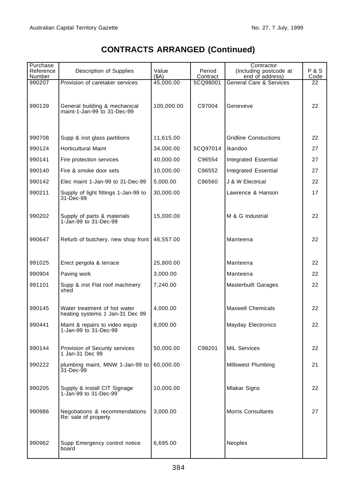| Purchase<br>Reference | Description of Supplies                                         | Value      | Period   | Contractor                                | <b>P&amp;S</b> |
|-----------------------|-----------------------------------------------------------------|------------|----------|-------------------------------------------|----------------|
| Number                |                                                                 | (SA)       | Contract | (Including postcode at<br>end of address) | Code           |
| 990207                | Provision of caretaker services                                 | 45,000.00  | 5CQ98001 | <b>General Care &amp; Services</b>        | 22             |
| 990139                | General building & mechanical<br>maint-1-Jan-99 to 31-Dec-99    | 100,000.00 | C97004   | Geneveve                                  | 22             |
| 990708                | Supp & inst glass partitions                                    | 11,615.00  |          | <b>Gridline Constuctions</b>              | 22             |
| 990124                | <b>Horticultural Maint</b>                                      | 34,000.00  | 5CQ97014 | Ikandoo                                   | 27             |
| 990141                | Fire protection services                                        | 40,000.00  | C96554   | Integrated Essential                      | 27             |
| 990140                | Fire & smoke door sets                                          | 10,000.00  | C96552   | Integrated Essential                      | 27             |
| 990142                | Elec maint 1-Jan-99 to 31-Dec-99                                | 5,000.00   | C96560   | J & W Electrical                          | 22             |
| 990211                | Supply of light fittings 1-Jan-99 to<br>31-Dec-99               | 30,000.00  |          | Lawrence & Hanson                         | 17             |
| 990202                | Supply of parts & materials<br>1-Jan-99 to 31-Dec-99            | 15,000.00  |          | M & G Industrial                          | 22             |
| 990647                | Refurb of butchery, new shop front                              | 46,557.00  |          | Manteena                                  | 22             |
| 991025                | Erect pergola & terrace                                         | 25,800.00  |          | Manteena                                  | 22             |
| 990904                | Paving work                                                     | 3,000.00   |          | Manteena                                  | 22             |
| 991101                | Supp & inst Flat roof machinery<br>shed                         | 7,240.00   |          | <b>Masterbuilt Garages</b>                | 22             |
| 990145                | Water treatment of hot water<br>heating systems 1 Jan-31 Dec 99 | 4,000.00   |          | <b>Maxwell Chemicals</b>                  | 22             |
| 990441                | Maint & repairs to video equip<br>1-Jan-99 to 31-Dec-99         | 8,000.00   |          | <b>Mayday Electronics</b>                 | 22             |
| 990144                | Provision of Security services<br>1 Jan-31 Dec 99               | 50.000.00  | C98201   | <b>MIL Services</b>                       | 22             |
| 990222                | plumbing maint, MNW 1-Jan-99 to<br>31-Dec-99                    | 60,000.00  |          | <b>Millswest Plumbing</b>                 | 21             |
| 990205                | Supply & install CIT Signage<br>1-Jan-99 to 31-Dec-99           | 10.000.00  |          | <b>Mlakar Signs</b>                       | 22             |
| 990986                | Negotiations & recommendations<br>Re: sale of property          | 3,000.00   |          | <b>Morris Consultants</b>                 | 27             |
| 990962                | Supp Emergency control notice<br>board                          | 6,695.00   |          | Neoplex                                   |                |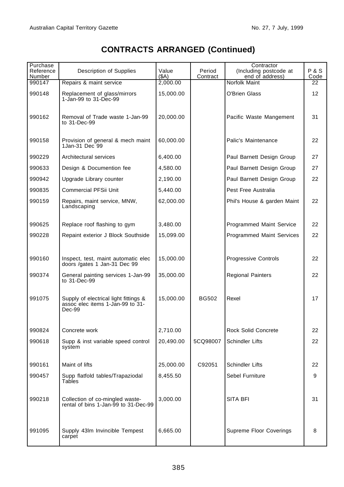| Purchase                   |                                                                                     |               |                    | Contractor                                |                        |
|----------------------------|-------------------------------------------------------------------------------------|---------------|--------------------|-------------------------------------------|------------------------|
| Reference<br><b>Number</b> | Description of Supplies                                                             | Value<br>(SA) | Period<br>Contract | (Including postcode at<br>end of address) | <b>P&amp;S</b><br>Code |
| 990147                     | Repairs & maint service                                                             | 2,000.00      |                    | Norfolk Maint                             | 22                     |
| 990148                     | Replacement of glass/mirrors<br>1-Jan-99 to 31-Dec-99                               | 15,000.00     |                    | O'Brien Glass                             | $12 \overline{ }$      |
| 990162                     | Removal of Trade waste 1-Jan-99<br>to 31-Dec-99                                     | 20,000.00     |                    | Pacific Waste Mangement                   | 31                     |
| 990158                     | Provision of general & mech maint<br>1Jan-31 Dec 99                                 | 60.000.00     |                    | Palic's Maintenance                       | 22                     |
| 990229                     | Architectural services                                                              | 6,400.00      |                    | Paul Barnett Design Group                 | 27                     |
| 990633                     | Design & Documention fee                                                            | 4,580.00      |                    | Paul Barnett Design Group                 | 27                     |
| 990942                     | Upgrade Library counter                                                             | 2,190.00      |                    | Paul Barnett Design Group                 | 22                     |
| 990835                     | <b>Commercial PFSii Unit</b>                                                        | 5,440.00      |                    | Pest Free Australia                       |                        |
| 990159                     | Repairs, maint service, MNW,<br>Landscaping                                         | 62,000.00     |                    | Phil's House & garden Maint               | 22                     |
| 990625                     | Replace roof flashing to gym                                                        | 3,480.00      |                    | <b>Programmed Maint Service</b>           | 22                     |
| 990228                     | Repaint exterior J Block Southside                                                  | 15,099.00     |                    | <b>Programmed Maint Services</b>          | 22                     |
|                            |                                                                                     |               |                    |                                           |                        |
| 990160                     | Inspect, test, maint automatic elec<br>doors /gates 1 Jan-31 Dec 99                 | 15,000.00     |                    | <b>Progressive Controls</b>               | 22                     |
| 990374                     | General painting services 1-Jan-99<br>to 31-Dec-99                                  | 35,000.00     |                    | <b>Regional Painters</b>                  | 22                     |
| 991075                     | Supply of electrical light fittings &<br>assoc elec items 1-Jan-99 to 31-<br>Dec-99 | 15,000.00     | <b>BG502</b>       | Rexel                                     | 17                     |
| 990824                     | Concrete work                                                                       | 2,710.00      |                    | <b>Rock Solid Concrete</b>                | 22                     |
| 990618                     | Supp & inst variable speed control<br>system                                        | 20,490.00     | 5CQ98007           | <b>Schindler Lifts</b>                    | 22                     |
|                            |                                                                                     |               |                    |                                           |                        |
| 990161                     | Maint of lifts                                                                      | 25.000.00     | C92051             | <b>Schindler Lifts</b>                    | 22                     |
| 990457                     | Supp flatfold tables/Trapaziodal<br>Tables                                          | 8,455.50      |                    | Sebel Furniture                           | 9                      |
| 990218                     | Collection of co-mingled waste-<br>rental of bins 1-Jan-99 to 31-Dec-99             | 3,000.00      |                    | SITA BFI                                  | 31                     |
| 991095                     | Supply 43lm Invincible Tempest<br>carpet                                            | 6,665.00      |                    | <b>Supreme Floor Coverings</b>            | 8                      |